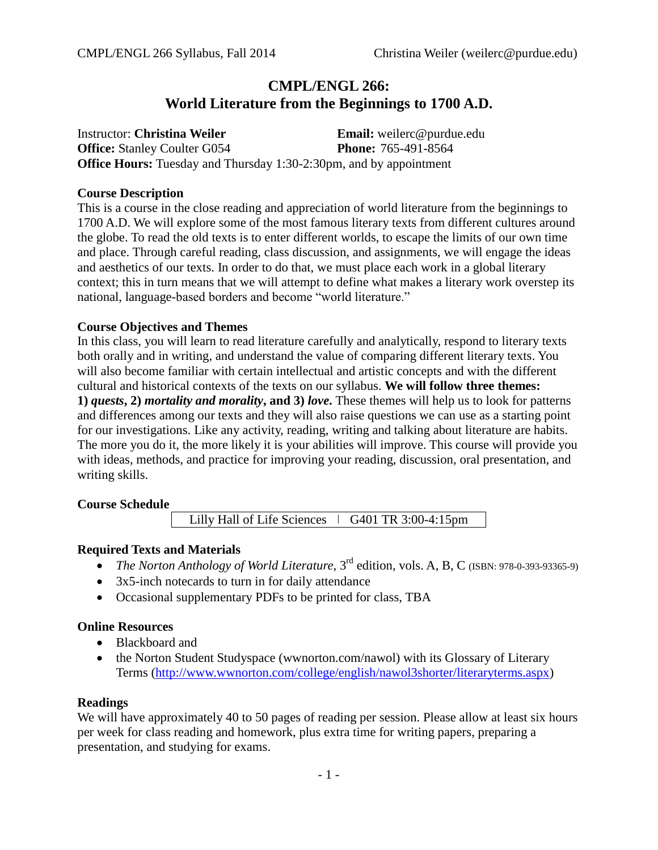# **CMPL/ENGL 266: World Literature from the Beginnings to 1700 A.D.**

Instructor: **Christina Weiler Email:** weilerc@purdue.edu **Office:** Stanley Coulter G054 **Phone:** 765-491-8564 **Office Hours:** Tuesday and Thursday 1:30-2:30pm, and by appointment

#### **Course Description**

This is a course in the close reading and appreciation of world literature from the beginnings to 1700 A.D. We will explore some of the most famous literary texts from different cultures around the globe. To read the old texts is to enter different worlds, to escape the limits of our own time and place. Through careful reading, class discussion, and assignments, we will engage the ideas and aesthetics of our texts. In order to do that, we must place each work in a global literary context; this in turn means that we will attempt to define what makes a literary work overstep its national, language-based borders and become "world literature."

## **Course Objectives and Themes**

In this class, you will learn to read literature carefully and analytically, respond to literary texts both orally and in writing, and understand the value of comparing different literary texts. You will also become familiar with certain intellectual and artistic concepts and with the different cultural and historical contexts of the texts on our syllabus. **We will follow three themes: 1)** *quests***, 2)** *mortality and morality***, and 3)** *love***.** These themes will help us to look for patterns and differences among our texts and they will also raise questions we can use as a starting point for our investigations. Like any activity, reading, writing and talking about literature are habits. The more you do it, the more likely it is your abilities will improve. This course will provide you with ideas, methods, and practice for improving your reading, discussion, oral presentation, and writing skills.

## **Course Schedule**

Lilly Hall of Life Sciences  $\vert$  G401 TR 3:00-4:15pm

## **Required Texts and Materials**

- The Norton Anthology of World Literature, 3<sup>rd</sup> edition, vols. A, B, C (ISBN: 978-0-393-93365-9)
- 3x5-inch notecards to turn in for daily attendance
- Occasional supplementary PDFs to be printed for class, TBA

#### **Online Resources**

- Blackboard and
- the Norton Student Studyspace (wwnorton.com/nawol) with its Glossary of Literary Terms [\(http://www.wwnorton.com/college/english/nawol3shorter/literaryterms.aspx\)](http://www.wwnorton.com/college/english/nawol3shorter/literaryterms.aspx)

#### **Readings**

We will have approximately 40 to 50 pages of reading per session. Please allow at least six hours per week for class reading and homework, plus extra time for writing papers, preparing a presentation, and studying for exams.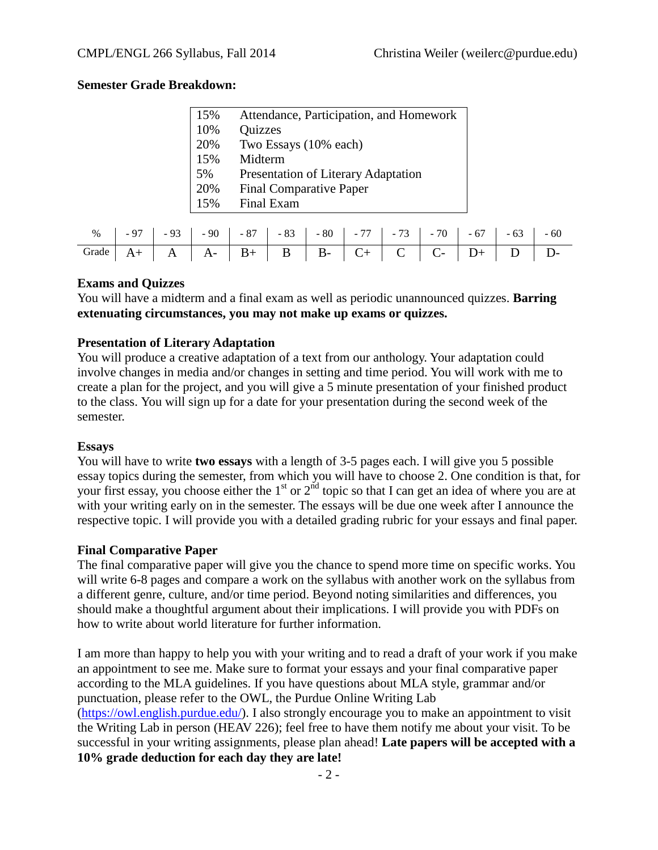## **Semester Grade Breakdown:**

| 15% | Attendance, Participation, and Homework |
|-----|-----------------------------------------|
| 10% | Quizzes                                 |
| 20% | Two Essays (10% each)                   |
| 15% | Midterm                                 |
| 5%  | Presentation of Literary Adaptation     |
| 20% | <b>Final Comparative Paper</b>          |
| 15% | Final Exam                              |

| Grade A+ A A- B+ B B- C+ C C- D+ D D- |  |  |  |  |  |  |
|---------------------------------------|--|--|--|--|--|--|

#### **Exams and Quizzes**

You will have a midterm and a final exam as well as periodic unannounced quizzes. **Barring extenuating circumstances, you may not make up exams or quizzes.**

#### **Presentation of Literary Adaptation**

You will produce a creative adaptation of a text from our anthology. Your adaptation could involve changes in media and/or changes in setting and time period. You will work with me to create a plan for the project, and you will give a 5 minute presentation of your finished product to the class. You will sign up for a date for your presentation during the second week of the semester.

#### **Essays**

You will have to write **two essays** with a length of 3-5 pages each. I will give you 5 possible essay topics during the semester, from which you will have to choose 2. One condition is that, for your first essay, you choose either the  $1<sup>st</sup>$  or  $2<sup>nd</sup>$  topic so that I can get an idea of where you are at with your writing early on in the semester. The essays will be due one week after I announce the respective topic. I will provide you with a detailed grading rubric for your essays and final paper.

#### **Final Comparative Paper**

The final comparative paper will give you the chance to spend more time on specific works. You will write 6-8 pages and compare a work on the syllabus with another work on the syllabus from a different genre, culture, and/or time period. Beyond noting similarities and differences, you should make a thoughtful argument about their implications. I will provide you with PDFs on how to write about world literature for further information.

I am more than happy to help you with your writing and to read a draft of your work if you make an appointment to see me. Make sure to format your essays and your final comparative paper according to the MLA guidelines. If you have questions about MLA style, grammar and/or punctuation, please refer to the OWL, the Purdue Online Writing Lab [\(https://owl.english.purdue.edu/\)](https://owl.english.purdue.edu/). I also strongly encourage you to make an appointment to visit the Writing Lab in person (HEAV 226); feel free to have them notify me about your visit. To be successful in your writing assignments, please plan ahead! **Late papers will be accepted with a 10% grade deduction for each day they are late!**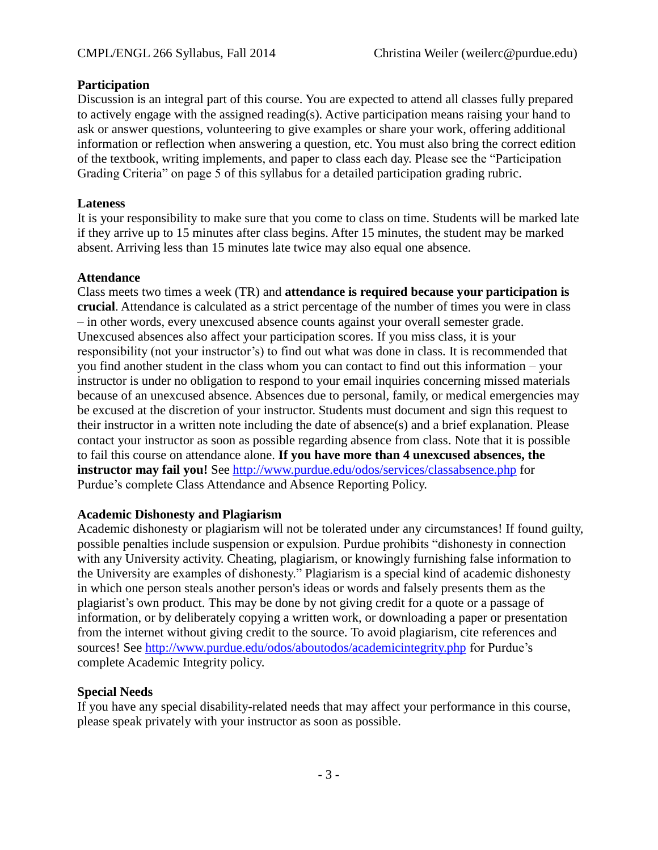# **Participation**

Discussion is an integral part of this course. You are expected to attend all classes fully prepared to actively engage with the assigned reading(s). Active participation means raising your hand to ask or answer questions, volunteering to give examples or share your work, offering additional information or reflection when answering a question, etc. You must also bring the correct edition of the textbook, writing implements, and paper to class each day. Please see the "Participation Grading Criteria" on page 5 of this syllabus for a detailed participation grading rubric.

## **Lateness**

It is your responsibility to make sure that you come to class on time. Students will be marked late if they arrive up to 15 minutes after class begins. After 15 minutes, the student may be marked absent. Arriving less than 15 minutes late twice may also equal one absence.

#### **Attendance**

Class meets two times a week (TR) and **attendance is required because your participation is crucial**. Attendance is calculated as a strict percentage of the number of times you were in class – in other words, every unexcused absence counts against your overall semester grade. Unexcused absences also affect your participation scores. If you miss class, it is your responsibility (not your instructor's) to find out what was done in class. It is recommended that you find another student in the class whom you can contact to find out this information – your instructor is under no obligation to respond to your email inquiries concerning missed materials because of an unexcused absence. Absences due to personal, family, or medical emergencies may be excused at the discretion of your instructor. Students must document and sign this request to their instructor in a written note including the date of absence(s) and a brief explanation. Please contact your instructor as soon as possible regarding absence from class. Note that it is possible to fail this course on attendance alone. **If you have more than 4 unexcused absences, the instructor may fail you!** See <http://www.purdue.edu/odos/services/classabsence.php> for Purdue's complete Class Attendance and Absence Reporting Policy.

#### **Academic Dishonesty and Plagiarism**

Academic dishonesty or plagiarism will not be tolerated under any circumstances! If found guilty, possible penalties include suspension or expulsion. Purdue prohibits "dishonesty in connection with any University activity. Cheating, plagiarism, or knowingly furnishing false information to the University are examples of dishonesty." Plagiarism is a special kind of academic dishonesty in which one person steals another person's ideas or words and falsely presents them as the plagiarist's own product. This may be done by not giving credit for a quote or a passage of information, or by deliberately copying a written work, or downloading a paper or presentation from the internet without giving credit to the source. To avoid plagiarism, cite references and sources! See<http://www.purdue.edu/odos/aboutodos/academicintegrity.php> for Purdue's complete Academic Integrity policy.

## **Special Needs**

If you have any special disability-related needs that may affect your performance in this course, please speak privately with your instructor as soon as possible.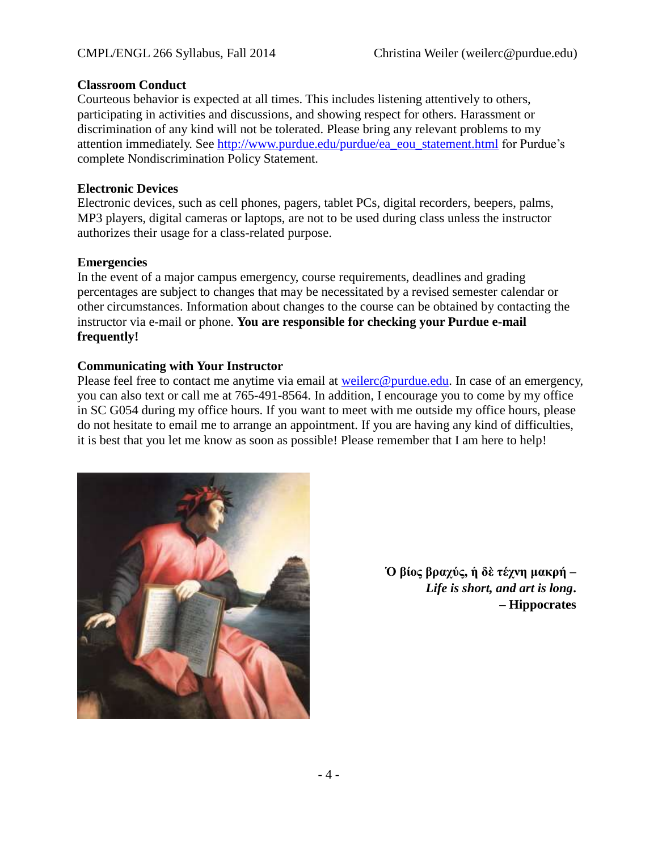#### **Classroom Conduct**

Courteous behavior is expected at all times. This includes listening attentively to others, participating in activities and discussions, and showing respect for others. Harassment or discrimination of any kind will not be tolerated. Please bring any relevant problems to my attention immediately. See [http://www.purdue.edu/purdue/ea\\_eou\\_statement.html](http://www.purdue.edu/purdue/ea_eou_statement.html) for Purdue's complete Nondiscrimination Policy Statement.

#### **Electronic Devices**

Electronic devices, such as cell phones, pagers, tablet PCs, digital recorders, beepers, palms, MP3 players, digital cameras or laptops, are not to be used during class unless the instructor authorizes their usage for a class-related purpose.

#### **Emergencies**

In the event of a major campus emergency, course requirements, deadlines and grading percentages are subject to changes that may be necessitated by a revised semester calendar or other circumstances. Information about changes to the course can be obtained by contacting the instructor via e-mail or phone. **You are responsible for checking your Purdue e-mail frequently!**

#### **Communicating with Your Instructor**

Please feel free to contact me anytime via email at [weilerc@purdue.edu.](mailto:weilerc@purdue.edu) In case of an emergency, you can also text or call me at 765-491-8564. In addition, I encourage you to come by my office in SC G054 during my office hours. If you want to meet with me outside my office hours, please do not hesitate to email me to arrange an appointment. If you are having any kind of difficulties, it is best that you let me know as soon as possible! Please remember that I am here to help!



**Ὁ βίος βραχύς, ἡ δὲ τέχνη μακρή –** *Life is short, and art is long***. – Hippocrates**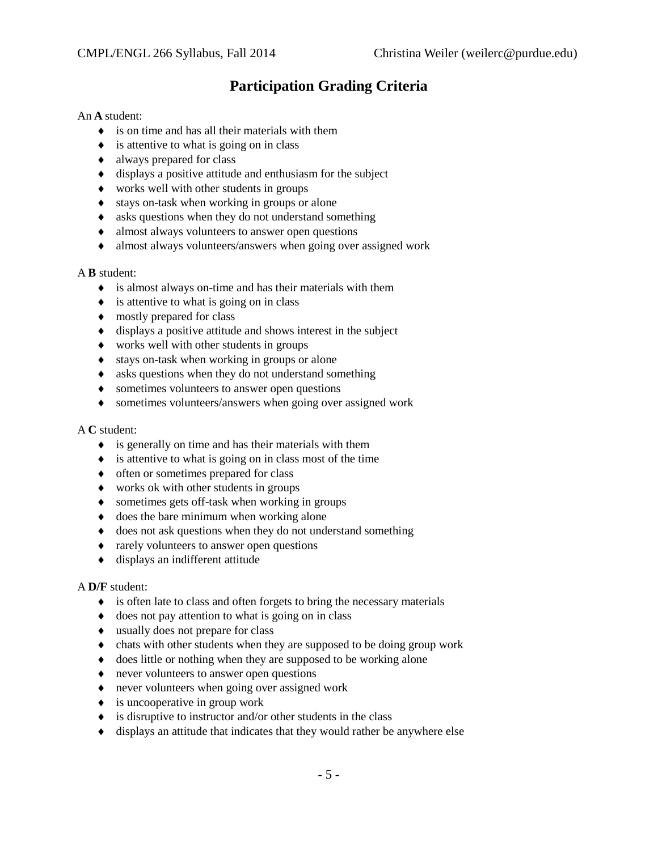# **Participation Grading Criteria**

#### An **A** student:

- is on time and has all their materials with them
- $\bullet$  is attentive to what is going on in class
- always prepared for class
- $\bullet$  displays a positive attitude and enthusiasm for the subject
- works well with other students in groups
- stays on-task when working in groups or alone
- asks questions when they do not understand something
- almost always volunteers to answer open questions
- almost always volunteers/answers when going over assigned work

#### A **B** student:

- is almost always on-time and has their materials with them
- $\bullet$  is attentive to what is going on in class
- $\bullet$  mostly prepared for class
- $\bullet$  displays a positive attitude and shows interest in the subject
- works well with other students in groups
- stays on-task when working in groups or alone
- asks questions when they do not understand something
- sometimes volunteers to answer open questions
- sometimes volunteers/answers when going over assigned work

#### A **C** student:

- $\bullet$  is generally on time and has their materials with them
- $\bullet$  is attentive to what is going on in class most of the time
- $\bullet$  often or sometimes prepared for class
- works ok with other students in groups
- sometimes gets off-task when working in groups
- $\bullet$  does the bare minimum when working alone
- does not ask questions when they do not understand something
- $\triangleleft$  rarely volunteers to answer open questions
- displays an indifferent attitude

#### A **D/F** student:

- $\bullet$  is often late to class and often forgets to bring the necessary materials
- $\bullet$  does not pay attention to what is going on in class
- usually does not prepare for class
- chats with other students when they are supposed to be doing group work
- $\bullet$  does little or nothing when they are supposed to be working alone
- never volunteers to answer open questions
- never volunteers when going over assigned work
- $\bullet$  is uncooperative in group work
- $\bullet$  is disruptive to instructor and/or other students in the class
- displays an attitude that indicates that they would rather be anywhere else